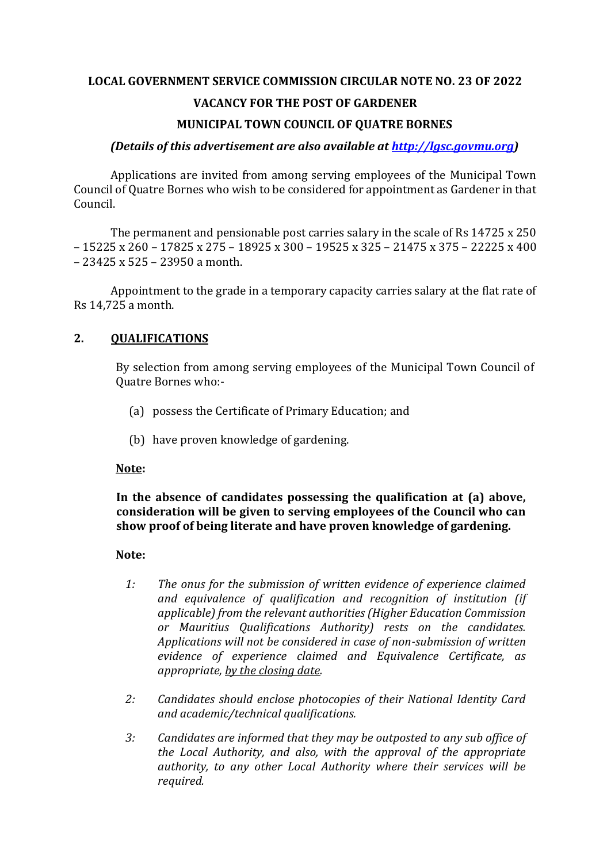## **LOCAL GOVERNMENT SERVICE COMMISSION CIRCULAR NOTE NO. 23 OF 2022**

## **VACANCY FOR THE POST OF GARDENER**

## **MUNICIPAL TOWN COUNCIL OF QUATRE BORNES**

#### *(Details of this advertisement are also available at [http://lgsc.govmu.org\)](http://lgsc.govmu.org/)*

Applications are invited from among serving employees of the Municipal Town Council of Quatre Bornes who wish to be considered for appointment as Gardener in that Council.

The permanent and pensionable post carries salary in the scale of Rs 14725 x 250 – 15225 x 260 – 17825 x 275 – 18925 x 300 – 19525 x 325 – 21475 x 375 – 22225 x 400 – 23425 x 525 – 23950 a month.

Appointment to the grade in a temporary capacity carries salary at the flat rate of Rs 14,725 a month.

## **2. QUALIFICATIONS**

By selection from among serving employees of the Municipal Town Council of Quatre Bornes who:-

- (a) possess the Certificate of Primary Education; and
- (b) have proven knowledge of gardening.

#### **Note:**

## **In the absence of candidates possessing the qualification at (a) above, consideration will be given to serving employees of the Council who can show proof of being literate and have proven knowledge of gardening.**

#### **Note:**

- *1: The onus for the submission of written evidence of experience claimed and equivalence of qualification and recognition of institution (if applicable) from the relevant authorities (Higher Education Commission or Mauritius Qualifications Authority) rests on the candidates. Applications will not be considered in case of non-submission of written evidence of experience claimed and Equivalence Certificate, as appropriate, by the closing date.*
- *2: Candidates should enclose photocopies of their National Identity Card and academic/technical qualifications.*
- *3: Candidates are informed that they may be outposted to any sub office of the Local Authority, and also, with the approval of the appropriate authority, to any other Local Authority where their services will be required.*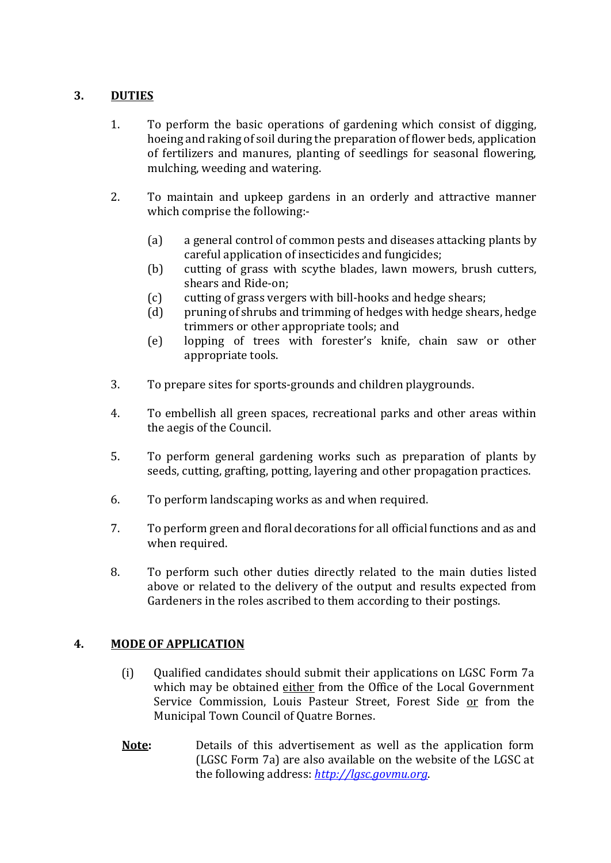# **3. DUTIES**

- 1. To perform the basic operations of gardening which consist of digging, hoeing and raking of soil during the preparation of flower beds, application of fertilizers and manures, planting of seedlings for seasonal flowering, mulching, weeding and watering.
- 2. To maintain and upkeep gardens in an orderly and attractive manner which comprise the following:-
	- (a) a general control of common pests and diseases attacking plants by careful application of insecticides and fungicides;
	- (b) cutting of grass with scythe blades, lawn mowers, brush cutters, shears and Ride-on;
	- (c) cutting of grass vergers with bill-hooks and hedge shears;
	- (d) pruning of shrubs and trimming of hedges with hedge shears, hedge trimmers or other appropriate tools; and
	- (e) lopping of trees with forester's knife, chain saw or other appropriate tools.
- 3. To prepare sites for sports-grounds and children playgrounds.
- 4. To embellish all green spaces, recreational parks and other areas within the aegis of the Council.
- 5. To perform general gardening works such as preparation of plants by seeds, cutting, grafting, potting, layering and other propagation practices.
- 6. To perform landscaping works as and when required.
- 7. To perform green and floral decorations for all official functions and as and when required.
- 8. To perform such other duties directly related to the main duties listed above or related to the delivery of the output and results expected from Gardeners in the roles ascribed to them according to their postings.

# **4. MODE OF APPLICATION**

- (i) Qualified candidates should submit their applications on LGSC Form 7a which may be obtained either from the Office of the Local Government Service Commission, Louis Pasteur Street, Forest Side or from the Municipal Town Council of Quatre Bornes.
- **Note:** Details of this advertisement as well as the application form (LGSC Form 7a) are also available on the website of the LGSC at the following address: *[http://lgsc.govmu.org](http://lgsc.govmu.org/)*.